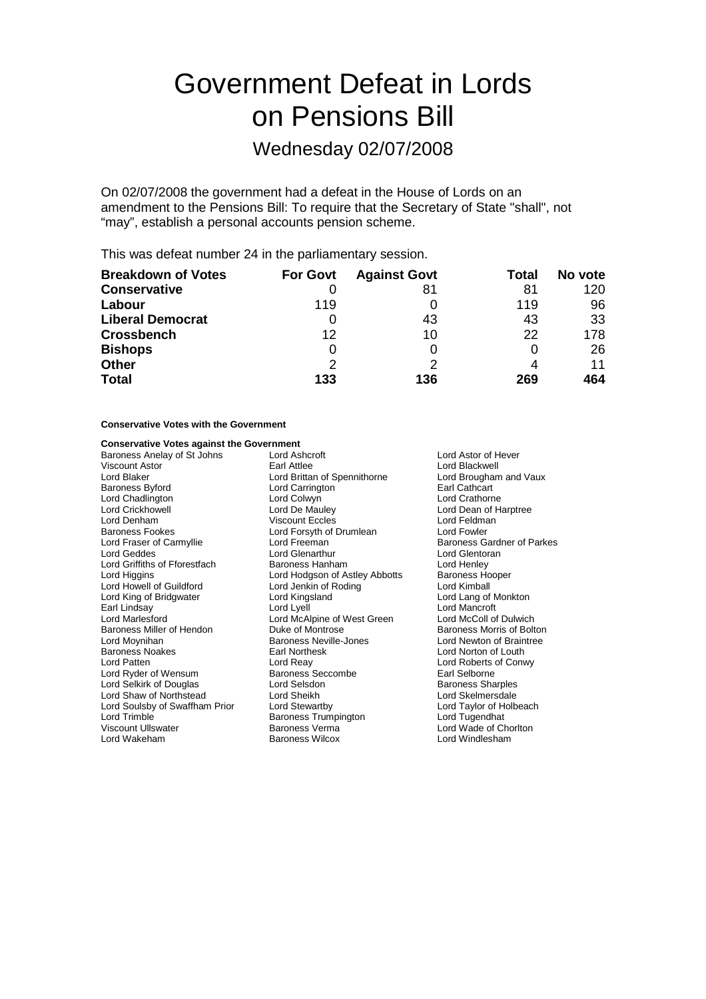# Government Defeat in Lords on Pensions Bill

Wednesday 02/07/2008

On 02/07/2008 the government had a defeat in the House of Lords on an amendment to the Pensions Bill: To require that the Secretary of State "shall", not "may", establish a personal accounts pension scheme.

This was defeat number 24 in the parliamentary session.

| <b>Breakdown of Votes</b> | <b>For Govt</b> | <b>Against Govt</b> | Total | No vote |
|---------------------------|-----------------|---------------------|-------|---------|
| <b>Conservative</b>       |                 | 81                  | 81    | 120     |
| Labour                    | 119             |                     | 119   | 96      |
| <b>Liberal Democrat</b>   |                 | 43                  | 43    | -33     |
| <b>Crossbench</b>         | 12              | 10                  | 22    | 178     |
| <b>Bishops</b>            |                 |                     |       | 26      |
| <b>Other</b>              | 2               |                     |       | 11      |
| <b>Total</b>              | 133             | 136                 | 269   | 464     |

## **Conservative Votes with the Government**

# **Conservative Votes against the Government**

| Baroness Anelay of St Johns    | Lord Ashcroft<br>Lord Astor of Hever |                                   |
|--------------------------------|--------------------------------------|-----------------------------------|
| Viscount Astor                 | Earl Attlee                          | Lord Blackwell                    |
| Lord Blaker                    | Lord Brittan of Spennithorne         | Lord Brougham and Vaux            |
| <b>Baroness Byford</b>         | Lord Carrington                      | Earl Cathcart                     |
| Lord Chadlington               | Lord Colwyn                          | Lord Crathorne                    |
| Lord Crickhowell               | Lord De Mauley                       | Lord Dean of Harptree             |
| Lord Denham                    | <b>Viscount Eccles</b>               | Lord Feldman                      |
| <b>Baroness Fookes</b>         | Lord Forsyth of Drumlean             | Lord Fowler                       |
| Lord Fraser of Carmyllie       | Lord Freeman                         | <b>Baroness Gardner of Parkes</b> |
| Lord Geddes                    | Lord Glenarthur                      | Lord Glentoran                    |
| Lord Griffiths of Fforestfach  | Baroness Hanham                      | Lord Henley                       |
| Lord Higgins                   | Lord Hodgson of Astley Abbotts       | <b>Baroness Hooper</b>            |
| Lord Howell of Guildford       | Lord Jenkin of Roding                | Lord Kimball                      |
| Lord King of Bridgwater        | Lord Kingsland                       | Lord Lang of Monkton              |
| Earl Lindsay                   | Lord Lyell                           | Lord Mancroft                     |
| Lord Marlesford                | Lord McAlpine of West Green          | Lord McColl of Dulwich            |
| Baroness Miller of Hendon      | Duke of Montrose                     | Baroness Morris of Bolton         |
| Lord Moynihan                  | <b>Baroness Neville-Jones</b>        | Lord Newton of Braintree          |
| <b>Baroness Noakes</b>         | Earl Northesk                        | Lord Norton of Louth              |
| Lord Patten                    | Lord Reay                            | Lord Roberts of Conwy             |
| Lord Ryder of Wensum           | <b>Baroness Seccombe</b>             | Earl Selborne                     |
| Lord Selkirk of Douglas        | Lord Selsdon                         | <b>Baroness Sharples</b>          |
| Lord Shaw of Northstead        | Lord Sheikh                          | Lord Skelmersdale                 |
| Lord Soulsby of Swaffham Prior | Lord Stewartby                       | Lord Taylor of Holbeach           |
| Lord Trimble                   | <b>Baroness Trumpington</b>          | Lord Tugendhat                    |
| <b>Viscount Ullswater</b>      | Baroness Verma                       | Lord Wade of Chorlton             |
| Lord Wakeham                   | <b>Baroness Wilcox</b>               | Lord Windlesham                   |
|                                |                                      |                                   |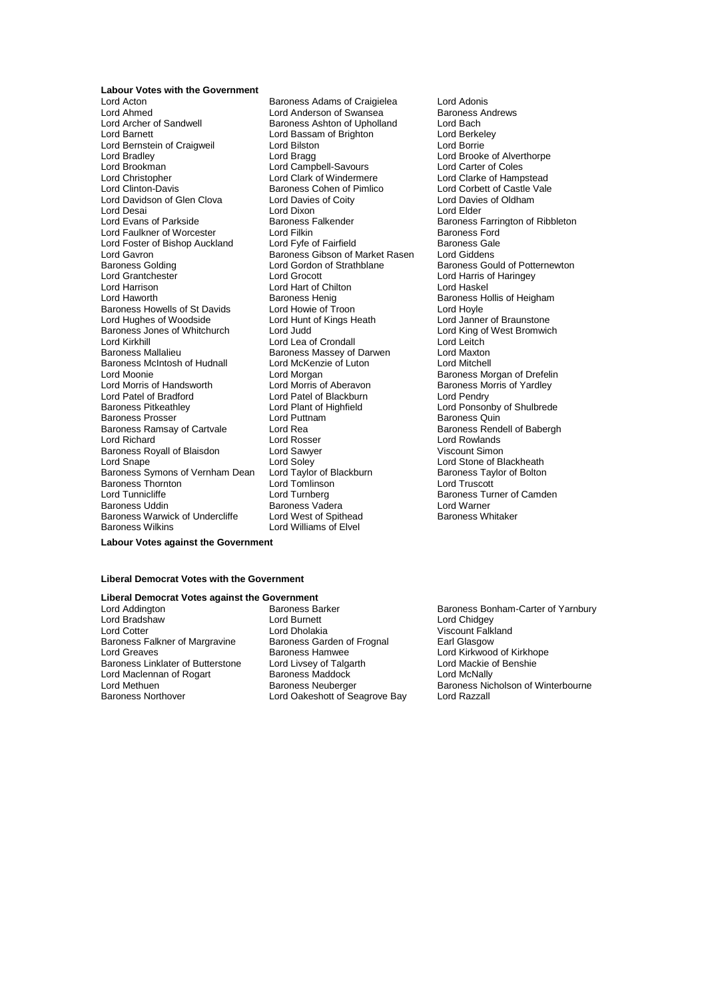# **Labour Votes with the Government**

Lord Ahmed Lord Anderson of Swansea Baroness /<br>
Lord Archer of Sandwell Baroness Ashton of Upholland Lord Bach Lord Archer of Sandwell **Baroness Ashton of Upholland** Lord Bach<br>
Lord Barnett Lord Bach Lord Bassam of Brighton Lord Berkelev Lord Bernstein of Craigweil Lord Bilston Cord Borrie Lord Borrie<br>
Lord Bragg Cord Brook Lord Brook Lord Brook Lord Brook Lord Bradley **Lord Bragg Lord Bragg Lord Brooke of Alverthorpe**<br>
Lord Brookman **Lord Campbell-Savours** Lord Carter of Coles Lord Brookman Lord Campbell-Savours<br>
Lord Christopher Lord Clark of Windermere Lord Clinton-Davis<br>
Lord Davidson of Glen Clova 
Lord Davies of Coity

Lord Davidson of Glen Clova

Lord Davies of Oldham

Lord Davidson of Glen Clova

Lord Davies of Oldham

Lord Davidson of Glen Clova

Lord Davidson o Lord Davidson of Glen Clova Lord Desai Lord Dixon<br>
Lord Evans of Parkside Baroness Falkender Corpus Baroness Falkender<br>
Lord Evans of Parkside Baroness Falkender Lord Faulkner of Worcester **Lord Filkin** Lord Filkin Baroness Ford<br>
Lord Foster of Bishop Auckland Lord Fvfe of Fairfield **Baroness Gale** Lord Foster of Bishop Auckland Lord Fyfe of Fairfield Baroness Gale<br>Lord Gavron Baroness Gibson of Market Rasen Lord Giddens Lord Gavron **Baroness Gibson of Market Rasen**<br>Baroness Golding **Baroness Gibson of Market Rasen** Baroness Golding **Exercise School Lord Gordon of Strathblane** Baroness Gould of Potternewton<br>
Lord Grantchester **Lord Grocott** Lord Grocott Lord Harris of Haringev Lord Grantchester Lord Grocott Lord Harris of Haringey Lord Haworth **Baroness Henig** Baroness Henig Baroness Hollis of Heigham<br>
Baroness Howells of St Davids Lord Howie of Troon **Baroness Hollis Conditable** Baroness Howells of St Davids Lord Howie of Troon and Hoyle Lord Hoyle<br>Lord Huahes of Woodside Lord Hunt of Kings Heath Lord Janne Baroness Jones of Whitchurch Lord Kirkhill Lord Lea of Crondall Lord Leitch Baroness Mallalieu **Baroness Massey of Darwen** Lord Maxton<br>Baroness McIntosh of Hudnall Lord McKenzie of Luton Lord Mitchell Baroness McIntosh of Hudnall<br>Lord Moonie Lord Morris of Handsworth Lord Morris of Aberavon<br>Lord Patel of Bradford Lord Patel of Blackburn Lord Pendry Lord Patel of Bradford<br>
Baroness Pitkeathley<br>
Lord Plant of Highfield er Baroness Prosser **Baroness Cuin**<br>Baroness Ramsay of Cartvale **Rand Lord Rea Baroness Rendell of Babergh**<br>Baroness Rendell of Babergh Baroness Ramsay of Cartvale Lord Rea<br>Lord Richard Baroness Rendell of Bosser Baroness Royall of Blaisdon Lord Sawyer Lord Snape Lord Soley Lord Soley Lord Stone of Blackheath<br>Baroness Symons of Vernham Dean Lord Taylor of Blackburn Baroness Taylor of Bolton Baroness Symons of Vernham Dean Lord Taylor of B<br>Baroness Thornton **Bolton** Lord Tomlinson Baroness Thornton Lord Tomlinson Lord Truscott Lord Tunnicliffe **Lord Turnberg** Lord Turnberg Baroness Turner of Camden Baroness Uddin **Baroness Vadera** Baroness Vadera Lord Warner<br>Baroness Warwick of Undercliffe Lord West of Spithead Baroness Whitaker Baroness Warwick of Undercliffe<br>Baroness Wilkins

**Baroness Adams of Craigielea** Lord Adonis<br>Lord Anderson of Swansea **Baroness Andrews** Lord Bassam of Brighton Lord Clark of Windermere<br>
Baroness Cohen of Pimlico<br>
Lord Corbett of Castle Vale Lord Euroness Falkender **Baroness Farrington of Ribbleton**<br>Lord Filkin Lord Elitics Baroness Ford Lord Hart of Chilton<br>Raroness Henig Lord Hunt of Kings Heath Lord Janner of Braunstone<br>Lord Judd Lord King of West Bromwich Lord Morgan<br>
Lord Morris of Aberavon<br>
Baroness Morris of Yardley Lord Plant of Highfield Lord Ponsonby of Shulbrede<br>
Lord Puttnam<br>
Baroness Quin Lord Williams of Elvel

Lord Rowlands<br>Viscount Simon

# **Labour Votes against the Government**

#### **Liberal Democrat Votes with the Government**

# **Liberal Democrat Votes against the Government**

Lord Bradshaw Lord Burnett Lord Chidgey Baroness Falkner of Margravine Baroness Garden of Frognal Earl Glasgow<br>Lord Greaves Baroness Hamwee Baroness Hamwee Baroness Linklater of Butterstone Lord Livsey of Talgarth Cord Mackie Cord Mackie of Benshie and Benshield Cor<br>
Lord Maclennan of Rogart Caroness Maddock Cord McNally Lord Maclennan of Rogart Baroness Maddock<br>Lord Methuen Baroness Neuberger

Lord Dholakia<br>Baroness Garden of Frognal Carl Glasgow Baroness Hamwee **Exercise Server Corporation**<br>
Lord Live Lord Mackie of Benshie<br>
Lord Mackie of Benshie Lord Oakeshott of Seagrove Bay

Lord Addington **Baroness Barker** Baroness Barker Baroness Bonham-Carter of Yarnbury<br>
Lord Bradshaw **Baroness Barker** Barnett Baroness Bonham-Carter of Yarnbury Lord Methuen **Example 2** Exercise Neuberger Baroness Nicholson of Winterbourne<br>Baroness Northover **Baroness Lord Cakeshott of Seagrove Bay** Lord Razzall